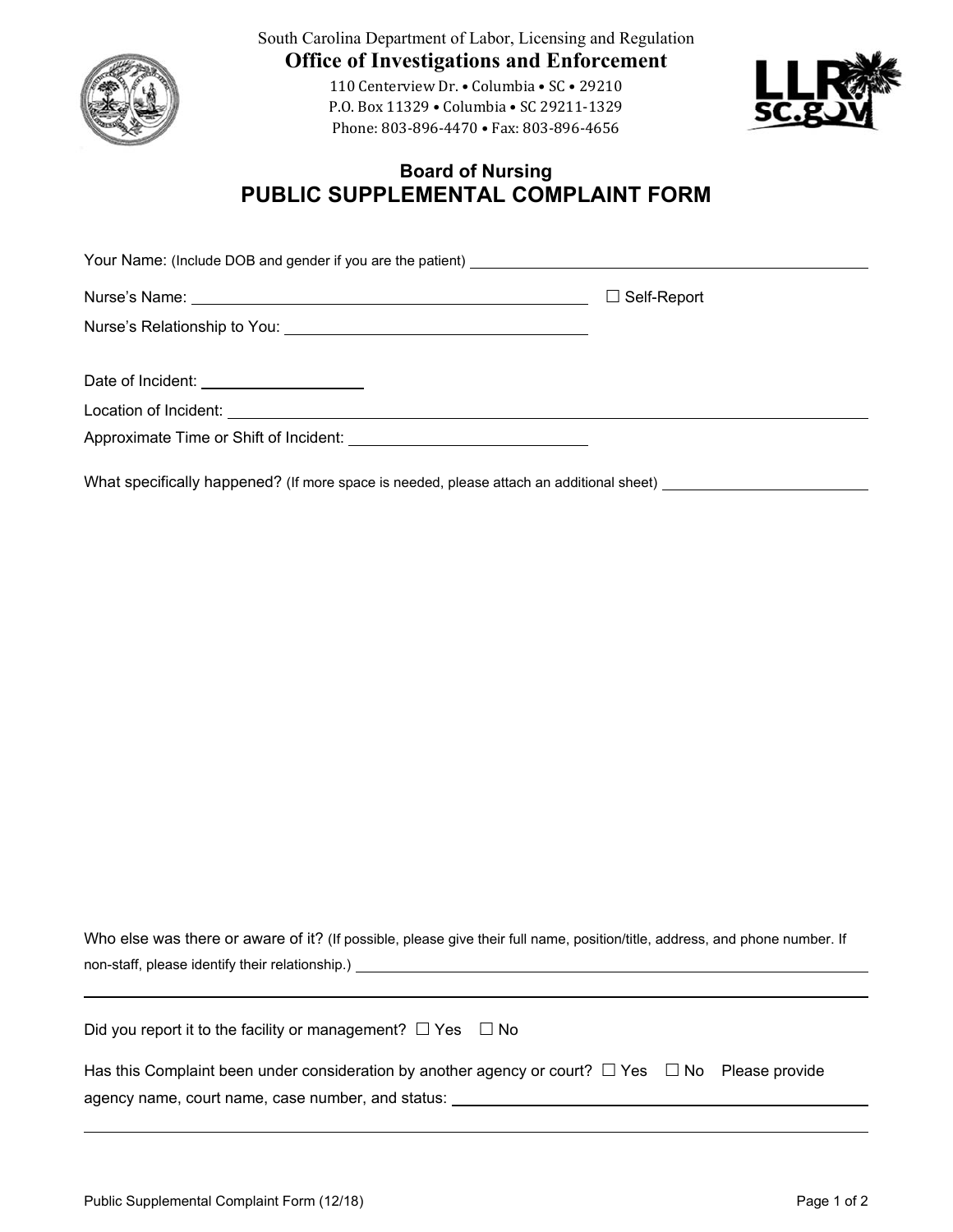

South Carolina Department of Labor, Licensing and Regulation **Office of Investigations and Enforcement** 

> 110 Centerview Dr. • Columbia • SC • 29210 P.O. Box 11329 • Columbia • SC 29211‐1329 Phone: 803-896-4470 • Fax: 803-896-4656



## **Board of Nursing PUBLIC SUPPLEMENTAL COMPLAINT FORM**

|                                          | $\Box$ Self-Report |
|------------------------------------------|--------------------|
|                                          |                    |
| Date of Incident: ______________________ |                    |
|                                          |                    |
|                                          |                    |

What specifically happened? (If more space is needed, please attach an additional sheet) \_\_\_\_\_\_\_\_\_\_\_\_\_\_\_\_\_\_\_\_\_

Who else was there or aware of it? (If possible, please give their full name, position/title, address, and phone number. If non-staff, please identify their relationship.)

| Did you report it to the facility or management? $\Box$ Yes $\Box$ No |  |  |
|-----------------------------------------------------------------------|--|--|
|-----------------------------------------------------------------------|--|--|

| Has this Complaint been under consideration by another agency or court? $\Box$ Yes $\Box$ No Please provide |  |  |
|-------------------------------------------------------------------------------------------------------------|--|--|
| agency name, court name, case number, and status:                                                           |  |  |